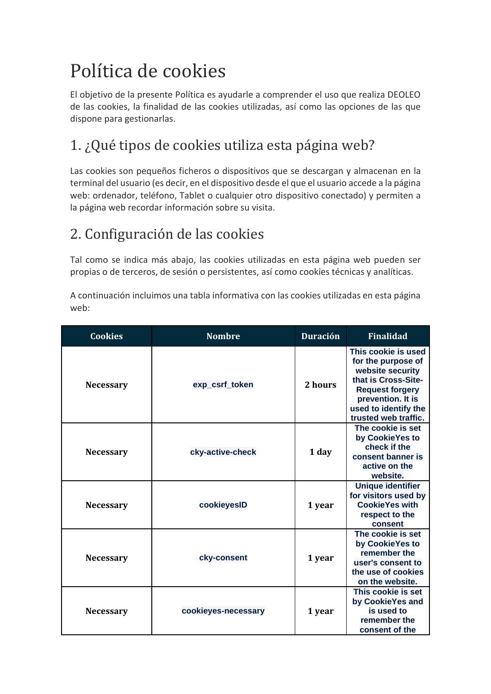# Política de cookies

El objetivo de la presente Política es ayudarle a comprender el uso que realiza DEOLEO de las cookies, la finalidad de las cookies utilizadas, así como las opciones de las que dispone para gestionarlas.

## 1. ¿Qué tipos de cookies utiliza esta página web?

Las cookies son pequeños ficheros o dispositivos que se descargan y almacenan en la terminal del usuario (es decir, en el dispositivo desde el que el usuario accede a la página web: ordenador, teléfono, Tablet o cualquier otro dispositivo conectado) y permiten a la página web recordar información sobre su visita.

### 2. Configuración de las cookies

Tal como se indica más abajo, las cookies utilizadas en esta página web pueden ser propias o de terceros, de sesión o persistentes, así como cookies técnicas y analíticas.

A continuación incluimos una tabla informativa con las cookies utilizadas en esta página web:

| <b>Cookies</b>   | <b>Nombre</b>       | <b>Duración</b> | <b>Finalidad</b>                                                                                                                                                                    |
|------------------|---------------------|-----------------|-------------------------------------------------------------------------------------------------------------------------------------------------------------------------------------|
| <b>Necessary</b> | exp_csrf_token      | 2 hours         | This cookie is used<br>for the purpose of<br>website security<br>that is Cross-Site-<br><b>Request forgery</b><br>prevention. It is<br>used to identify the<br>trusted web traffic. |
| <b>Necessary</b> | cky-active-check    | 1 day           | The cookie is set<br>by CookieYes to<br>check if the<br>consent banner is<br>active on the<br>website.                                                                              |
| <b>Necessary</b> | cookieyesID         | 1 year          | <b>Unique identifier</b><br>for visitors used by<br><b>CookieYes with</b><br>respect to the<br>consent                                                                              |
| <b>Necessary</b> | cky-consent         | 1 year          | The cookie is set<br>by CookieYes to<br>remember the<br>user's consent to<br>the use of cookies<br>on the website.                                                                  |
| <b>Necessary</b> | cookieyes-necessary | 1 year          | This cookie is set<br>by CookieYes and<br>is used to<br>remember the<br>consent of the                                                                                              |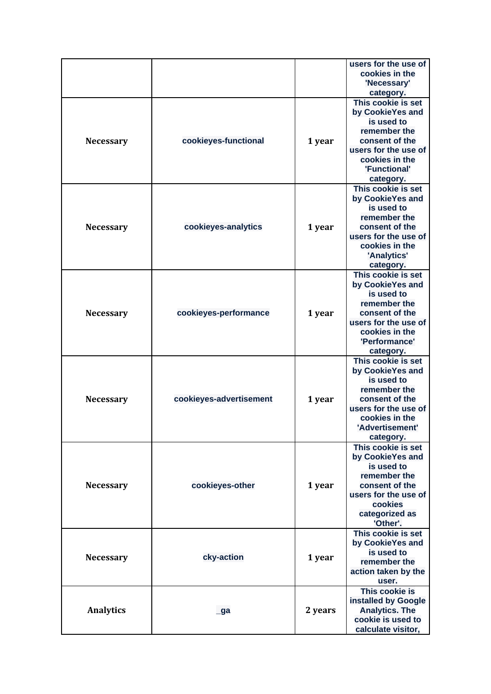|                  |                         |         | users for the use of<br>cookies in the<br>'Necessary'                                                                                                                      |
|------------------|-------------------------|---------|----------------------------------------------------------------------------------------------------------------------------------------------------------------------------|
| <b>Necessary</b> | cookieyes-functional    | 1 year  | category.<br>This cookie is set<br>by CookieYes and<br>is used to<br>remember the<br>consent of the<br>users for the use of<br>cookies in the<br>'Functional'<br>category. |
| <b>Necessary</b> | cookieyes-analytics     | 1 year  | This cookie is set<br>by CookieYes and<br>is used to<br>remember the<br>consent of the<br>users for the use of<br>cookies in the<br>'Analytics'<br>category.               |
| <b>Necessary</b> | cookieyes-performance   | 1 year  | This cookie is set<br>by CookieYes and<br>is used to<br>remember the<br>consent of the<br>users for the use of<br>cookies in the<br>'Performance'<br>category.             |
| <b>Necessary</b> | cookieyes-advertisement | 1 year  | This cookie is set<br>by CookieYes and<br>is used to<br>remember the<br>consent of the<br>users for the use of<br>cookies in the<br>'Advertisement'<br>category.           |
| <b>Necessary</b> | cookieyes-other         | 1 year  | This cookie is set<br>by CookieYes and<br>is used to<br>remember the<br>consent of the<br>users for the use of<br>cookies<br>categorized as<br>'Other'.                    |
| <b>Necessary</b> | cky-action              | 1 year  | This cookie is set<br>by CookieYes and<br>is used to<br>remember the<br>action taken by the<br>user.                                                                       |
| <b>Analytics</b> | _ga                     | 2 years | This cookie is<br>installed by Google<br><b>Analytics. The</b><br>cookie is used to<br>calculate visitor,                                                                  |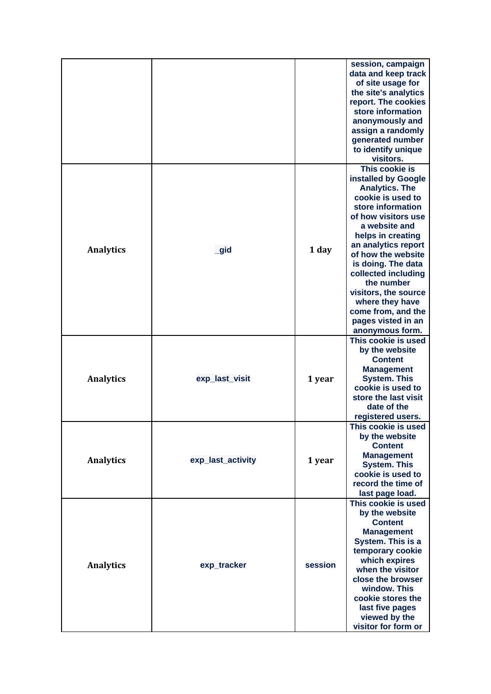|                  |                   |         | session, campaign<br>data and keep track<br>of site usage for<br>the site's analytics<br>report. The cookies<br>store information<br>anonymously and<br>assign a randomly<br>generated number<br>to identify unique<br>visitors.                                                                                                                                                        |
|------------------|-------------------|---------|-----------------------------------------------------------------------------------------------------------------------------------------------------------------------------------------------------------------------------------------------------------------------------------------------------------------------------------------------------------------------------------------|
| <b>Analytics</b> | _gid              | 1 day   | This cookie is<br>installed by Google<br><b>Analytics. The</b><br>cookie is used to<br>store information<br>of how visitors use<br>a website and<br>helps in creating<br>an analytics report<br>of how the website<br>is doing. The data<br>collected including<br>the number<br>visitors, the source<br>where they have<br>come from, and the<br>pages visted in an<br>anonymous form. |
| <b>Analytics</b> | exp_last_visit    | 1 year  | This cookie is used<br>by the website<br><b>Content</b><br><b>Management</b><br><b>System. This</b><br>cookie is used to<br>store the last visit<br>date of the<br>registered users.                                                                                                                                                                                                    |
| <b>Analytics</b> | exp_last_activity | 1 year  | This cookie is used<br>by the website<br><b>Content</b><br><b>Management</b><br><b>System. This</b><br>cookie is used to<br>record the time of<br>last page load.                                                                                                                                                                                                                       |
| <b>Analytics</b> | exp_tracker       | session | This cookie is used<br>by the website<br><b>Content</b><br><b>Management</b><br>System. This is a<br>temporary cookie<br>which expires<br>when the visitor<br>close the browser<br>window. This<br>cookie stores the<br>last five pages<br>viewed by the<br>visitor for form or                                                                                                         |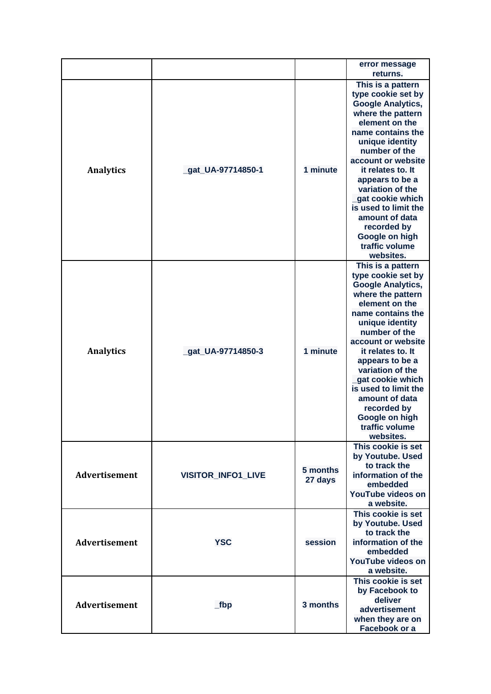|                                |                           |                                | error message<br>returns.                     |
|--------------------------------|---------------------------|--------------------------------|-----------------------------------------------|
|                                |                           |                                | This is a pattern                             |
|                                |                           |                                | type cookie set by                            |
|                                |                           |                                | <b>Google Analytics,</b>                      |
|                                |                           |                                | where the pattern                             |
|                                |                           |                                | element on the                                |
|                                |                           |                                | name contains the                             |
|                                |                           | 1 minute                       | unique identity<br>number of the              |
|                                |                           |                                | account or website                            |
| <b>Analytics</b>               | _gat_UA-97714850-1        |                                | it relates to. It                             |
|                                |                           |                                | appears to be a                               |
|                                |                           |                                | variation of the                              |
|                                |                           |                                | gat cookie which                              |
|                                |                           |                                | is used to limit the                          |
|                                |                           |                                | amount of data                                |
|                                |                           |                                | recorded by                                   |
|                                |                           |                                | Google on high                                |
|                                |                           |                                | traffic volume                                |
|                                |                           |                                | websites.                                     |
|                                |                           |                                | This is a pattern                             |
|                                |                           |                                | type cookie set by                            |
|                                |                           |                                | <b>Google Analytics,</b><br>where the pattern |
|                                |                           |                                | element on the                                |
|                                |                           |                                | name contains the                             |
|                                |                           |                                | unique identity                               |
|                                |                           |                                | number of the                                 |
|                                |                           | 1 minute                       | account or website                            |
| <b>Analytics</b>               | gat UA-97714850-3         |                                | it relates to. It                             |
|                                |                           |                                | appears to be a                               |
|                                |                           |                                | variation of the                              |
|                                |                           |                                | gat cookie which                              |
|                                |                           |                                | is used to limit the                          |
|                                |                           |                                | amount of data                                |
|                                |                           |                                | recorded by<br>Google on high                 |
|                                |                           |                                | traffic volume                                |
|                                |                           |                                | websites.                                     |
|                                |                           |                                | This cookie is set                            |
|                                | <b>VISITOR_INFO1_LIVE</b> | 5 months<br>27 days<br>session | by Youtube. Used                              |
|                                |                           |                                | to track the                                  |
| <b>Advertisement</b>           |                           |                                | information of the                            |
|                                |                           |                                | embedded                                      |
|                                |                           |                                | YouTube videos on                             |
|                                |                           |                                | a website.                                    |
| Advertisement<br>Advertisement | <b>YSC</b>                |                                | This cookie is set                            |
|                                |                           |                                | by Youtube. Used<br>to track the              |
|                                |                           |                                | information of the                            |
|                                |                           |                                | embedded                                      |
|                                |                           |                                | YouTube videos on                             |
|                                |                           |                                | a website.                                    |
|                                | $\_fbp$                   | 3 months                       | This cookie is set                            |
|                                |                           |                                | by Facebook to                                |
|                                |                           |                                | deliver                                       |
|                                |                           |                                | advertisement                                 |
|                                |                           |                                | when they are on                              |
|                                |                           |                                | Facebook or a                                 |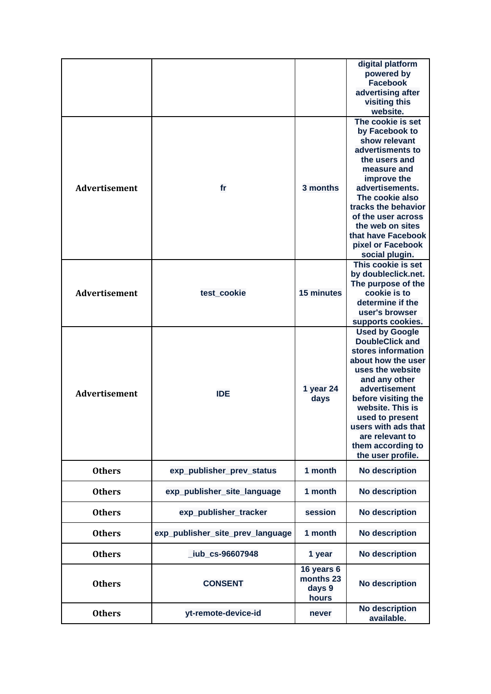|                      |                                  |                   | digital platform<br>powered by<br><b>Facebook</b> |
|----------------------|----------------------------------|-------------------|---------------------------------------------------|
|                      |                                  |                   | advertising after<br>visiting this                |
|                      |                                  |                   | website.<br>The cookie is set                     |
|                      |                                  |                   | by Facebook to                                    |
|                      |                                  |                   | show relevant                                     |
|                      |                                  |                   | advertisments to                                  |
|                      |                                  |                   | the users and                                     |
|                      |                                  |                   | measure and                                       |
|                      |                                  |                   | improve the                                       |
| <b>Advertisement</b> | fr                               | 3 months          | advertisements.                                   |
|                      |                                  |                   | The cookie also                                   |
|                      |                                  |                   | tracks the behavior                               |
|                      |                                  |                   | of the user across                                |
|                      |                                  |                   | the web on sites                                  |
|                      |                                  |                   | that have Facebook                                |
|                      |                                  |                   | pixel or Facebook                                 |
|                      |                                  |                   | social plugin.                                    |
|                      |                                  |                   | This cookie is set                                |
|                      |                                  |                   | by doubleclick.net.                               |
|                      |                                  |                   | The purpose of the                                |
| <b>Advertisement</b> | test_cookie                      | <b>15 minutes</b> | cookie is to                                      |
|                      |                                  |                   | determine if the<br>user's browser                |
|                      |                                  |                   | supports cookies.                                 |
|                      |                                  |                   | <b>Used by Google</b>                             |
|                      |                                  |                   | <b>DoubleClick and</b>                            |
|                      |                                  |                   | stores information                                |
|                      |                                  |                   | about how the user                                |
|                      |                                  |                   | uses the website                                  |
|                      |                                  |                   | and any other                                     |
|                      |                                  | 1 year 24         | advertisement                                     |
| <b>Advertisement</b> | <b>IDE</b>                       | days              | before visiting the                               |
|                      |                                  |                   | website. This is                                  |
|                      |                                  |                   | used to present                                   |
|                      |                                  |                   | users with ads that                               |
|                      |                                  |                   | are relevant to                                   |
|                      |                                  |                   | them according to                                 |
|                      |                                  |                   | the user profile.                                 |
| <b>Others</b>        | exp_publisher_prev_status        | 1 month           | No description                                    |
| <b>Others</b>        | exp_publisher_site_language      | 1 month           | <b>No description</b>                             |
| <b>Others</b>        | exp_publisher_tracker            | session           | <b>No description</b>                             |
| <b>Others</b>        | exp_publisher_site_prev_language | 1 month           | <b>No description</b>                             |
| <b>Others</b>        | _iub_cs-96607948                 | 1 year            | <b>No description</b>                             |
|                      |                                  | 16 years 6        |                                                   |
| <b>Others</b>        | <b>CONSENT</b>                   | months 23         | <b>No description</b>                             |
|                      |                                  | days 9            |                                                   |
|                      |                                  | hours             |                                                   |
| <b>Others</b>        | yt-remote-device-id              | never             | <b>No description</b><br>available.               |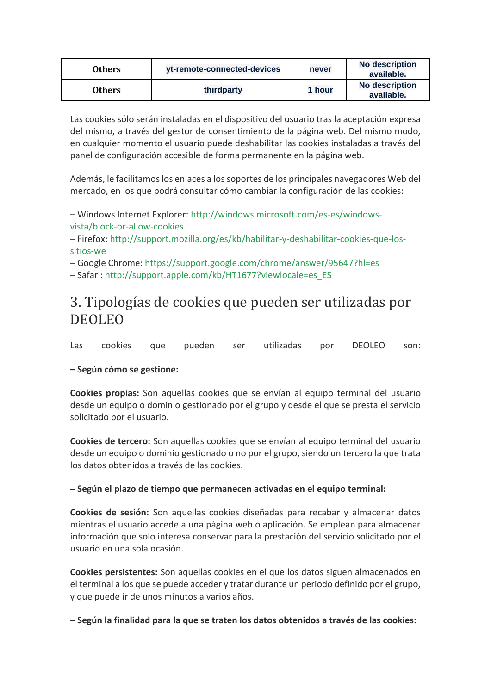| Others | yt-remote-connected-devices | never  | No description<br>available. |
|--------|-----------------------------|--------|------------------------------|
| Others | thirdparty                  | 1 hour | No description<br>available. |

Las cookies sólo serán instaladas en el dispositivo del usuario tras la aceptación expresa del mismo, a través del gestor de consentimiento de la página web. Del mismo modo, en cualquier momento el usuario puede deshabilitar las cookies instaladas a través del panel de configuración accesible de forma permanente en la página web.

Además, le facilitamos los enlaces a los soportes de los principales navegadores Web del mercado, en los que podrá consultar cómo cambiar la configuración de las cookies:

– Windows Internet Explorer: [http://windows.microsoft.com/es-es/windows](http://windows.microsoft.com/es-es/windows-vista/block-or-allow-cookies)[vista/block-or-allow-cookies](http://windows.microsoft.com/es-es/windows-vista/block-or-allow-cookies)

– Firefox: [http://support.mozilla.org/es/kb/habilitar-y-deshabilitar-cookies-que-los](http://support.mozilla.org/es/kb/habilitar-y-deshabilitar-cookies-que-los-sitios-we)[sitios-we](http://support.mozilla.org/es/kb/habilitar-y-deshabilitar-cookies-que-los-sitios-we)

– Google Chrome:<https://support.google.com/chrome/answer/95647?hl=es>

– Safari: [http://support.apple.com/kb/HT1677?viewlocale=es\\_ES](http://support.apple.com/kb/HT1677?viewlocale=es_ES)

### 3. Tipologías de cookies que pueden ser utilizadas por DEOLEO

Las cookies que pueden ser utilizadas por DEOLEO son:

#### **– Según cómo se gestione:**

**Cookies propias:** Son aquellas cookies que se envían al equipo terminal del usuario desde un equipo o dominio gestionado por el grupo y desde el que se presta el servicio solicitado por el usuario.

**Cookies de tercero:** Son aquellas cookies que se envían al equipo terminal del usuario desde un equipo o dominio gestionado o no por el grupo, siendo un tercero la que trata los datos obtenidos a través de las cookies.

#### **– Según el plazo de tiempo que permanecen activadas en el equipo terminal:**

**Cookies de sesión:** Son aquellas cookies diseñadas para recabar y almacenar datos mientras el usuario accede a una página web o aplicación. Se emplean para almacenar información que solo interesa conservar para la prestación del servicio solicitado por el usuario en una sola ocasión.

**Cookies persistentes:** Son aquellas cookies en el que los datos siguen almacenados en el terminal a los que se puede acceder y tratar durante un periodo definido por el grupo, y que puede ir de unos minutos a varios años.

**– Según la finalidad para la que se traten los datos obtenidos a través de las cookies:**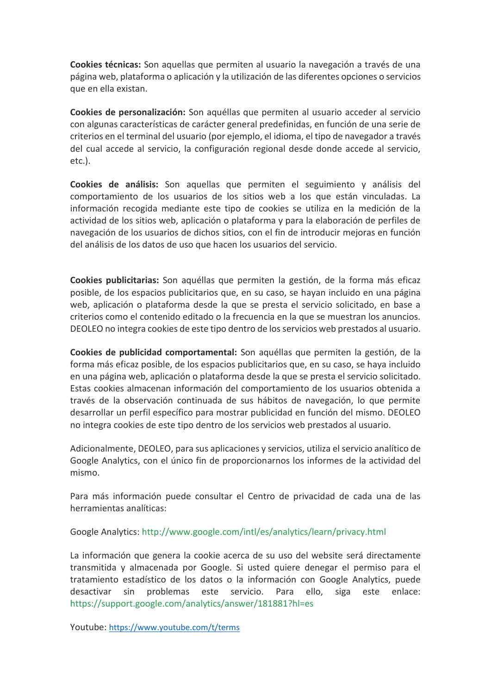**Cookies técnicas:** Son aquellas que permiten al usuario la navegación a través de una página web, plataforma o aplicación y la utilización de las diferentes opciones o servicios que en ella existan.

**Cookies de personalización:** Son aquéllas que permiten al usuario acceder al servicio con algunas características de carácter general predefinidas, en función de una serie de criterios en el terminal del usuario (por ejemplo, el idioma, el tipo de navegador a través del cual accede al servicio, la configuración regional desde donde accede al servicio, etc.).

**Cookies de análisis:** Son aquellas que permiten el seguimiento y análisis del comportamiento de los usuarios de los sitios web a los que están vinculadas. La información recogida mediante este tipo de cookies se utiliza en la medición de la actividad de los sitios web, aplicación o plataforma y para la elaboración de perfiles de navegación de los usuarios de dichos sitios, con el fin de introducir mejoras en función del análisis de los datos de uso que hacen los usuarios del servicio.

**Cookies publicitarias:** Son aquéllas que permiten la gestión, de la forma más eficaz posible, de los espacios publicitarios que, en su caso, se hayan incluido en una página web, aplicación o plataforma desde la que se presta el servicio solicitado, en base a criterios como el contenido editado o la frecuencia en la que se muestran los anuncios. DEOLEO no integra cookies de este tipo dentro de los servicios web prestados al usuario.

**Cookies de publicidad comportamental:** Son aquéllas que permiten la gestión, de la forma más eficaz posible, de los espacios publicitarios que, en su caso, se haya incluido en una página web, aplicación o plataforma desde la que se presta el servicio solicitado. Estas cookies almacenan información del comportamiento de los usuarios obtenida a través de la observación continuada de sus hábitos de navegación, lo que permite desarrollar un perfil específico para mostrar publicidad en función del mismo. DEOLEO no integra cookies de este tipo dentro de los servicios web prestados al usuario.

Adicionalmente, DEOLEO, para sus aplicaciones y servicios, utiliza el servicio analítico de Google Analytics, con el único fin de proporcionarnos los informes de la actividad del mismo.

Para más información puede consultar el Centro de privacidad de cada una de las herramientas analíticas:

Google Analytics:<http://www.google.com/intl/es/analytics/learn/privacy.html>

La información que genera la cookie acerca de su uso del website será directamente transmitida y almacenada por Google. Si usted quiere denegar el permiso para el tratamiento estadístico de los datos o la información con Google Analytics, puede desactivar sin problemas este servicio. Para ello, siga este enlace: <https://support.google.com/analytics/answer/181881?hl=es>

Youtube: <https://www.youtube.com/t/terms>